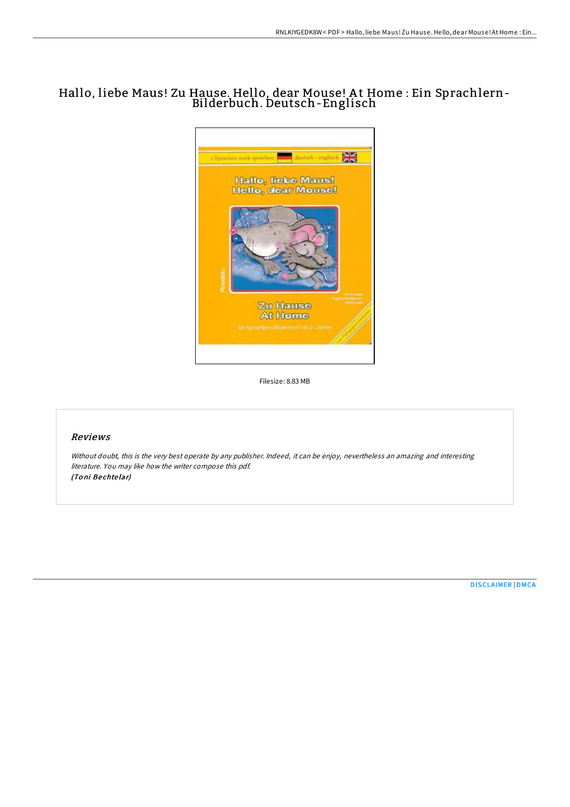# Hallo, liebe Maus! Zu Hause. Hello, dear Mouse! A t Home : Ein Sprachlern-Bilderbuch. Deutsch-Englisch



Filesize: 8.83 MB

## Reviews

Without doubt, this is the very best operate by any publisher. Indeed, it can be enjoy, nevertheless an amazing and interesting literature. You may like how the writer compose this pdf. (Toni Bechtelar)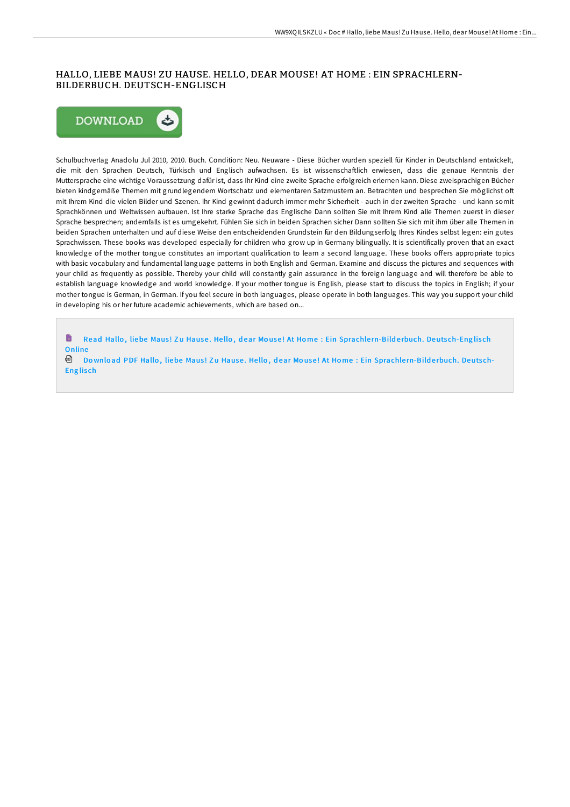### HALLO, LIEBE MAUS! ZU HAUSE. HELLO, DEAR MOUSE! AT HOME : EIN SPRACHLERN-BILDERBUCH. DEUTSCH-ENGLISCH



Schulbuchverlag Anadolu Jul 2010, 2010. Buch. Condition: Neu. Neuware - Diese Bücher wurden speziell für Kinder in Deutschland entwickelt, die mit den Sprachen Deutsch, Türkisch und Englisch aufwachsen. Es ist wissenschaftlich erwiesen, dass die genaue Kenntnis der Muttersprache eine wichtige Voraussetzung dafür ist, dass Ihr Kind eine zweite Sprache erfolgreich erlernen kann. Diese zweisprachigen Bücher bieten kindgemäße Themen mit grundlegendem Wortschatz und elementaren Satzmustern an. Betrachten und besprechen Sie möglichst oft mit Ihrem Kind die vielen Bilder und Szenen. Ihr Kind gewinnt dadurch immer mehr Sicherheit - auch in der zweiten Sprache - und kann somit Sprachkönnen und Weltwissen aufbauen. Ist Ihre starke Sprache das Englische Dann sollten Sie mit Ihrem Kind alle Themen zuerst in dieser Sprache besprechen; andernfalls ist es umgekehrt. Fühlen Sie sich in beiden Sprachen sicher Dann sollten Sie sich mit ihm über alle Themen in beiden Sprachen unterhalten und auf diese Weise den entscheidenden Grundstein für den Bildungserfolg Ihres Kindes selbst legen: ein gutes Sprachwissen. These books was developed especially for children who grow up in Germany bilingually. It is scientifically proven that an exact knowledge of the mother tongue constitutes an important qualification to learn a second language. These books offers appropriate topics with basic vocabulary and fundamental language patterns in both English and German. Examine and discuss the pictures and sequences with your child as frequently as possible. Thereby your child will constantly gain assurance in the foreign language and will therefore be able to establish language knowledge and world knowledge. If your mother tongue is English, please start to discuss the topics in English; if your mother tongue is German, in German. If you feel secure in both languages, please operate in both languages. This way you support your child in developing his or her future academic achievements, which are based on...

h Read Hallo, liebe Maus! Zu Hause. Hello, dear Mouse! At Home : Ein [Sprachle](http://almighty24.tech/hallo-liebe-maus-zu-hause-hello-dear-mouse-at-ho.html)rn-Bilderbuch. Deutsch-Englisch Online

**Download PDF Hallo, liebe Maus! Zu Hause. Hello, dear Mouse! At Home : Ein [Sprachle](http://almighty24.tech/hallo-liebe-maus-zu-hause-hello-dear-mouse-at-ho.html)rn-Bilderbuch. Deutsch-Englisch**